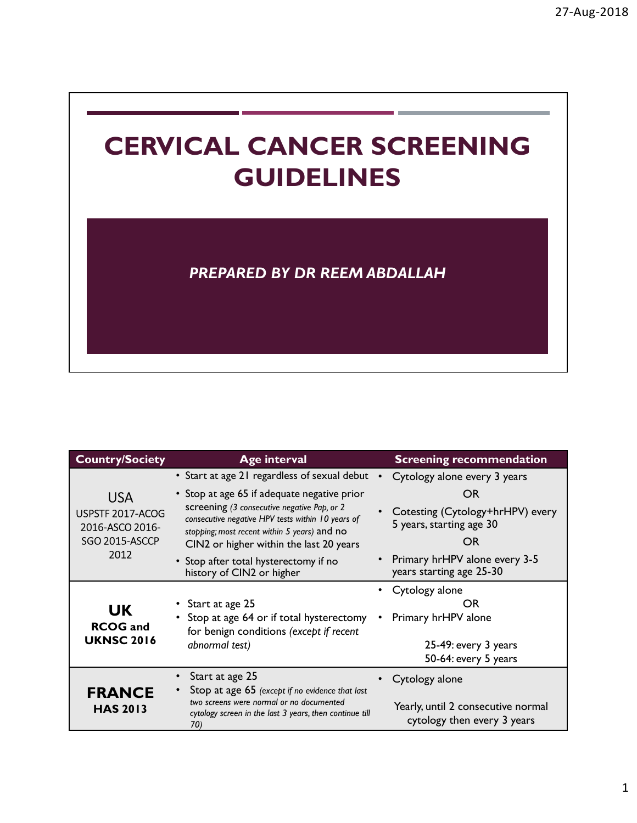## CERVICAL CANCER SCREENING GUIDELINES

|                                                                             | <b>PREPARED BY DR REEM ABDALLAH</b>                                                                                                                                                                                                                                                                                                                                |                                                                                                                                                                                     |
|-----------------------------------------------------------------------------|--------------------------------------------------------------------------------------------------------------------------------------------------------------------------------------------------------------------------------------------------------------------------------------------------------------------------------------------------------------------|-------------------------------------------------------------------------------------------------------------------------------------------------------------------------------------|
| <b>Country/Society</b>                                                      | <b>Age interval</b>                                                                                                                                                                                                                                                                                                                                                | <b>Screening recommendation</b>                                                                                                                                                     |
| <b>USA</b><br>USPSTF 2017-ACOG<br>2016-ASCO 2016-<br>SGO 2015-ASCCP<br>2012 | • Start at age 21 regardless of sexual debut •<br>• Stop at age 65 if adequate negative prior<br>screening (3 consecutive negative Pap, or 2<br>consecutive negative HPV tests within 10 years of<br>stopping; most recent within 5 years) and no<br>CIN2 or higher within the last 20 years<br>• Stop after total hysterectomy if no<br>history of CIN2 or higher | Cytology alone every 3 years<br><b>OR</b><br>Cotesting (Cytology+hrHPV) every<br>5 years, starting age 30<br><b>OR</b><br>Primary hrHPV alone every 3-5<br>years starting age 25-30 |
| <b>UK</b><br><b>RCOG</b> and<br><b>UKNSC 2016</b>                           | Start at age 25<br>• Stop at age 64 or if total hysterectomy<br>for benign conditions (except if recent<br>abnormal test)                                                                                                                                                                                                                                          | • Cytology alone<br>OR<br>Primary hrHPV alone<br>25-49: every 3 years<br>50-64: every 5 years                                                                                       |
| <b>FRANCE</b><br><b>HAS 2013</b>                                            | Start at age 25<br>Stop at age 65 (except if no evidence that last<br>two screens were normal or no documented<br>cytology screen in the last 3 years, then continue till<br>70)                                                                                                                                                                                   | • Cytology alone<br>Yearly, until 2 consecutive normal<br>cytology then every 3 years                                                                                               |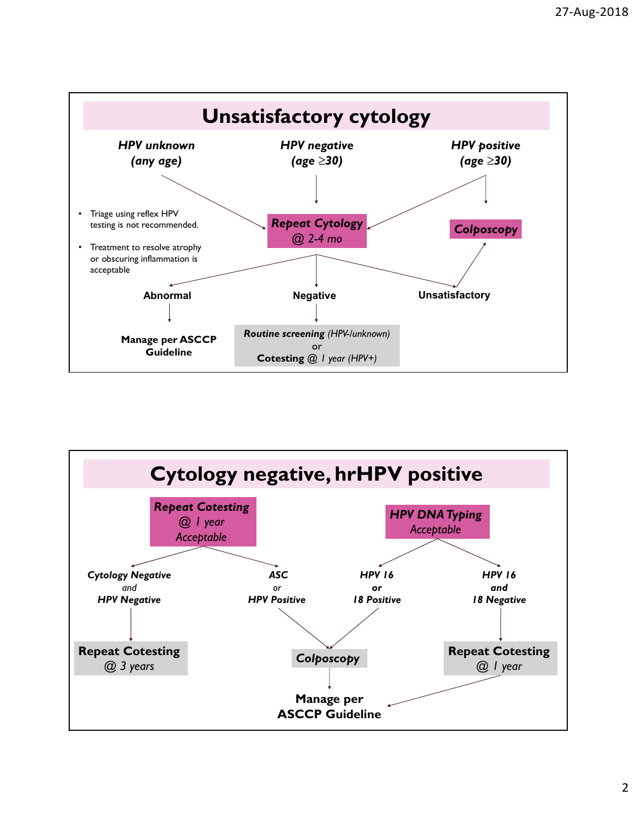

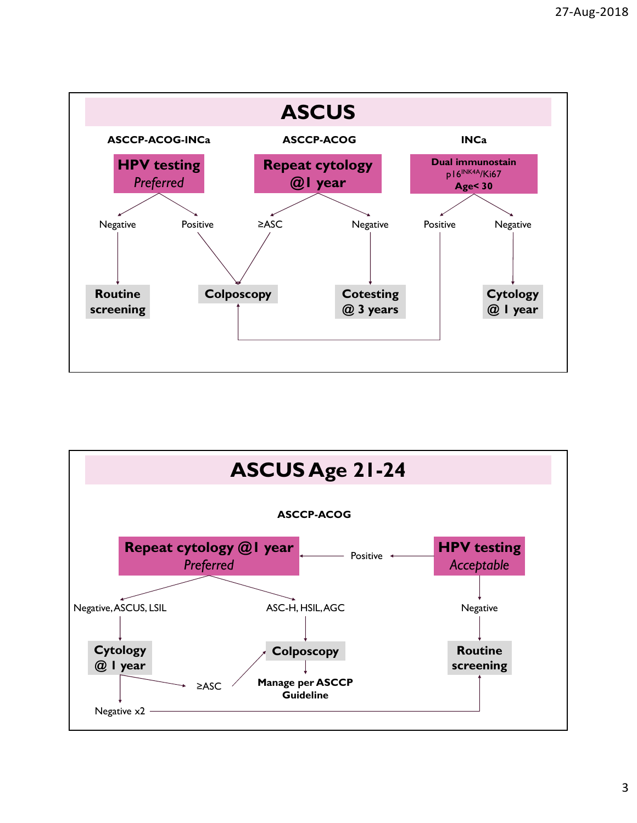

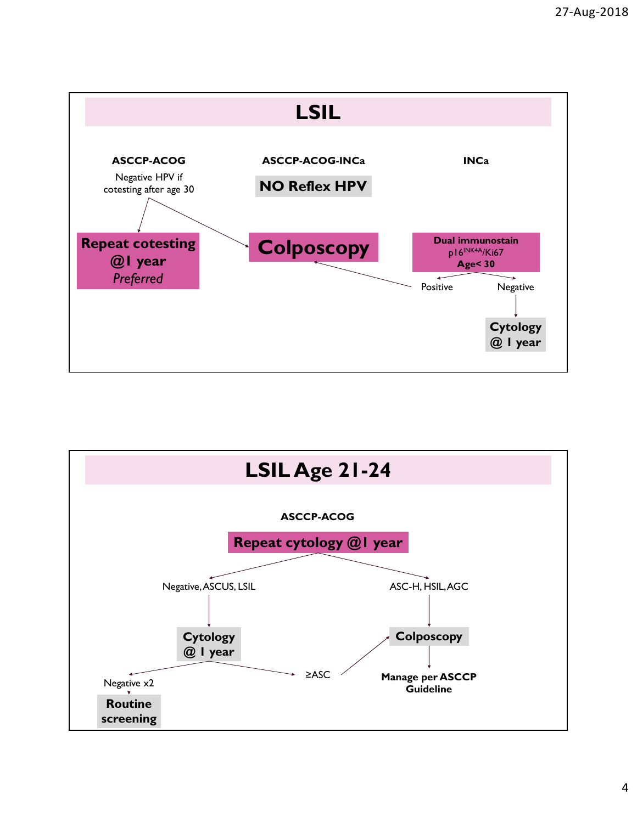

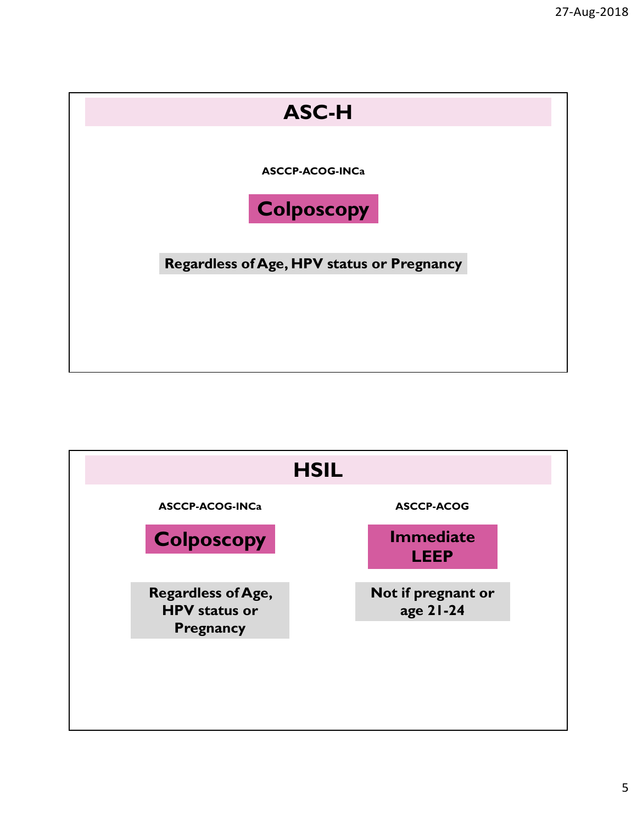

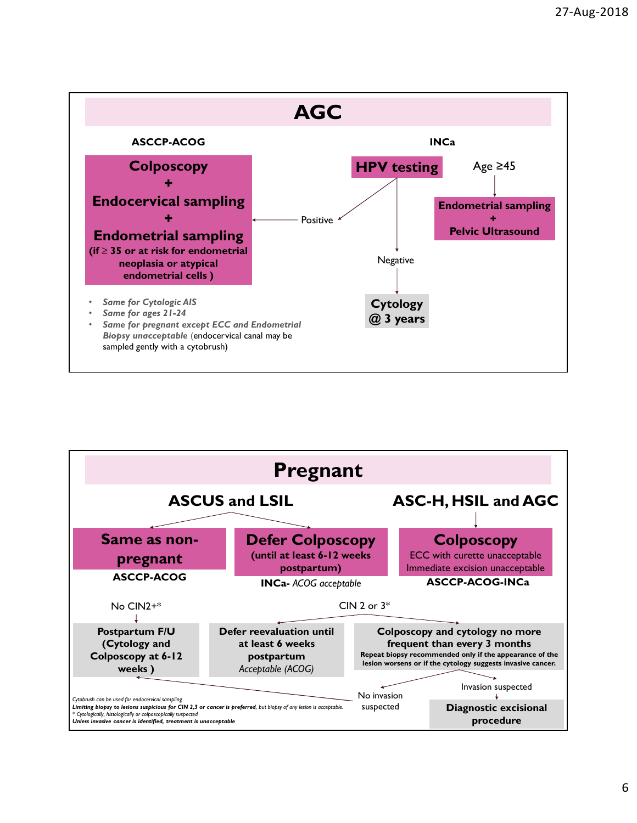